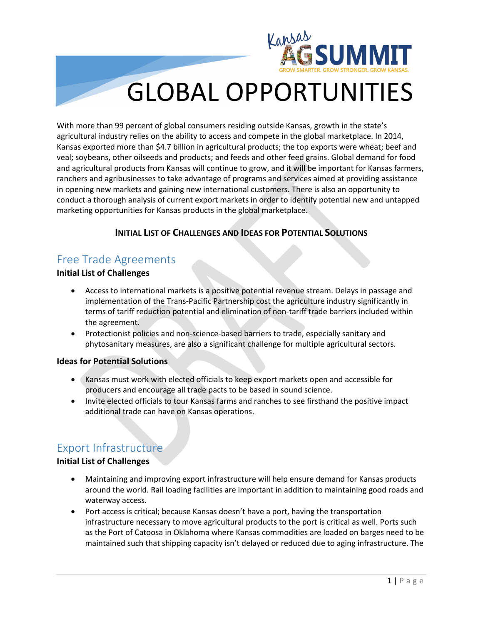

# GLOBAL OPPORTUNITIES

With more than 99 percent of global consumers residing outside Kansas, growth in the state's agricultural industry relies on the ability to access and compete in the global marketplace. In 2014, Kansas exported more than \$4.7 billion in agricultural products; the top exports were wheat; beef and veal; soybeans, other oilseeds and products; and feeds and other feed grains. Global demand for food and agricultural products from Kansas will continue to grow, and it will be important for Kansas farmers, ranchers and agribusinesses to take advantage of programs and services aimed at providing assistance in opening new markets and gaining new international customers. There is also an opportunity to conduct a thorough analysis of current export markets in order to identify potential new and untapped marketing opportunities for Kansas products in the global marketplace.

#### **INITIAL LIST OF CHALLENGES AND IDEAS FOR POTENTIAL SOLUTIONS**

# Free Trade Agreements

#### **Initial List of Challenges**

- Access to international markets is a positive potential revenue stream. Delays in passage and implementation of the Trans-Pacific Partnership cost the agriculture industry significantly in terms of tariff reduction potential and elimination of non-tariff trade barriers included within the agreement.
- Protectionist policies and non-science-based barriers to trade, especially sanitary and phytosanitary measures, are also a significant challenge for multiple agricultural sectors.

#### **Ideas for Potential Solutions**

- Kansas must work with elected officials to keep export markets open and accessible for producers and encourage all trade pacts to be based in sound science.
- Invite elected officials to tour Kansas farms and ranches to see firsthand the positive impact additional trade can have on Kansas operations.

## Export Infrastructure

#### **Initial List of Challenges**

- Maintaining and improving export infrastructure will help ensure demand for Kansas products around the world. Rail loading facilities are important in addition to maintaining good roads and waterway access.
- Port access is critical; because Kansas doesn't have a port, having the transportation infrastructure necessary to move agricultural products to the port is critical as well. Ports such as the Port of Catoosa in Oklahoma where Kansas commodities are loaded on barges need to be maintained such that shipping capacity isn't delayed or reduced due to aging infrastructure. The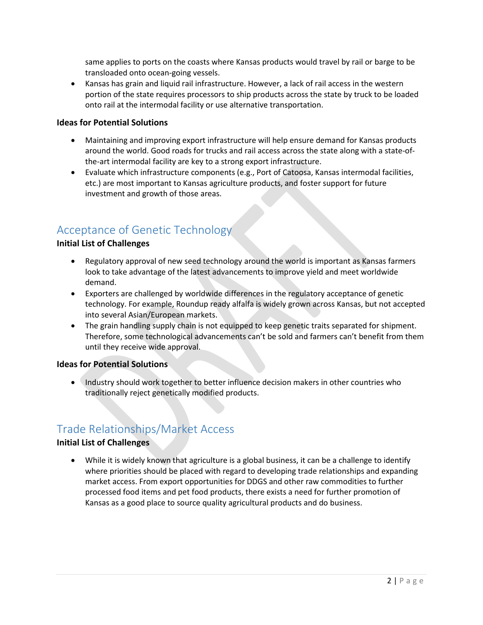same applies to ports on the coasts where Kansas products would travel by rail or barge to be transloaded onto ocean-going vessels.

• Kansas has grain and liquid rail infrastructure. However, a lack of rail access in the western portion of the state requires processors to ship products across the state by truck to be loaded onto rail at the intermodal facility or use alternative transportation.

#### **Ideas for Potential Solutions**

- Maintaining and improving export infrastructure will help ensure demand for Kansas products around the world. Good roads for trucks and rail access across the state along with a state-ofthe-art intermodal facility are key to a strong export infrastructure.
- Evaluate which infrastructure components (e.g., Port of Catoosa, Kansas intermodal facilities, etc.) are most important to Kansas agriculture products, and foster support for future investment and growth of those areas.

# Acceptance of Genetic Technology

#### **Initial List of Challenges**

- Regulatory approval of new seed technology around the world is important as Kansas farmers look to take advantage of the latest advancements to improve yield and meet worldwide demand.
- Exporters are challenged by worldwide differences in the regulatory acceptance of genetic technology. For example, Roundup ready alfalfa is widely grown across Kansas, but not accepted into several Asian/European markets.
- The grain handling supply chain is not equipped to keep genetic traits separated for shipment. Therefore, some technological advancements can't be sold and farmers can't benefit from them until they receive wide approval.

#### **Ideas for Potential Solutions**

• Industry should work together to better influence decision makers in other countries who traditionally reject genetically modified products.

## Trade Relationships/Market Access

#### **Initial List of Challenges**

• While it is widely known that agriculture is a global business, it can be a challenge to identify where priorities should be placed with regard to developing trade relationships and expanding market access. From export opportunities for DDGS and other raw commodities to further processed food items and pet food products, there exists a need for further promotion of Kansas as a good place to source quality agricultural products and do business.